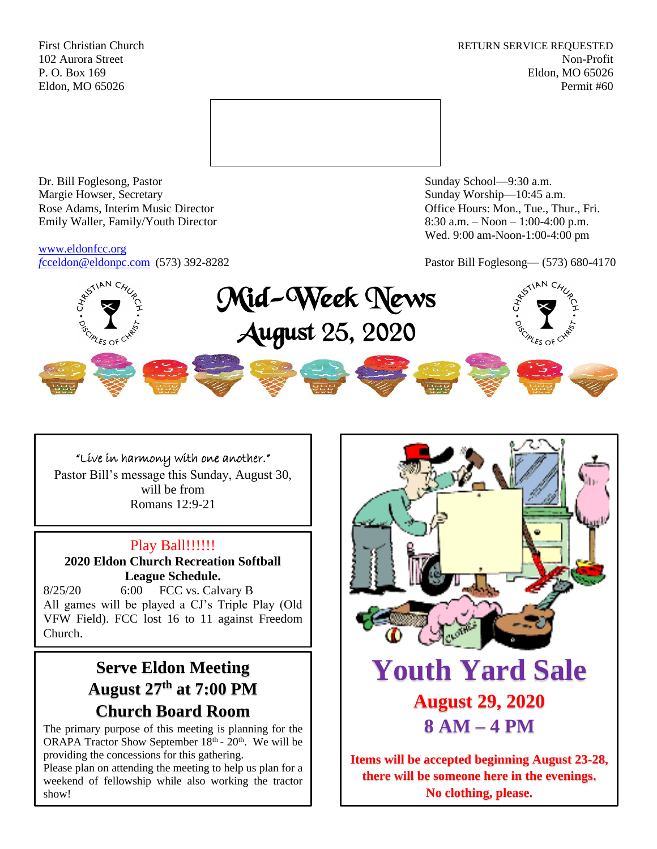First Christian Church **RETURN SERVICE REQUESTED** 102 Aurora Street Non-Profit P. O. Box 169 Eldon, MO 65026 Eldon, MO 65026 Permit #60



Dr. Bill Foglesong, Pastor Sunday School—9:30 a.m. Margie Howser, Secretary Sunday Worship—10:45 a.m. Rose Adams, Interim Music Director **Containers** Controller and Controller Controller Controller Controller and Controller Controller Controller and Controller and Controller and Controller and Controller and Controller and Emily Waller, Family/Youth Director 8:30 a.m. – Noon – 1:00-4:00 p.m.

[www.eldonfcc.org](http://www.eldonfcc.org/)

Wed. 9:00 am-Noon-1:00-4:00 pm

*f*[cceldon@eldonpc.com](mailto:fcceldon@eldonpc.com) (573) 392-8282 Pastor Bill Foglesong— (573) 680-4170



## "Live in harmony with one another."

Pastor Bill's message this Sunday, August 30, will be from Romans 12:9-21

## Play Ball!!!!!!!

**2020 Eldon Church Recreation Softball League Schedule.**

8/25/20 6:00 FCC vs. Calvary B All games will be played a CJ's Triple Play (Old VFW Field). FCC lost 16 to 11 against Freedom Church.

# **Serve Eldon Meeting August 27th at 7:00 PM Church Board Room**

The primary purpose of this meeting is planning for the ORAPA Tractor Show September  $18<sup>th</sup> - 20<sup>th</sup>$ . We will be providing the concessions for this gathering.

Please plan on attending the meeting to help us plan for a weekend of fellowship while also working the tractor show!